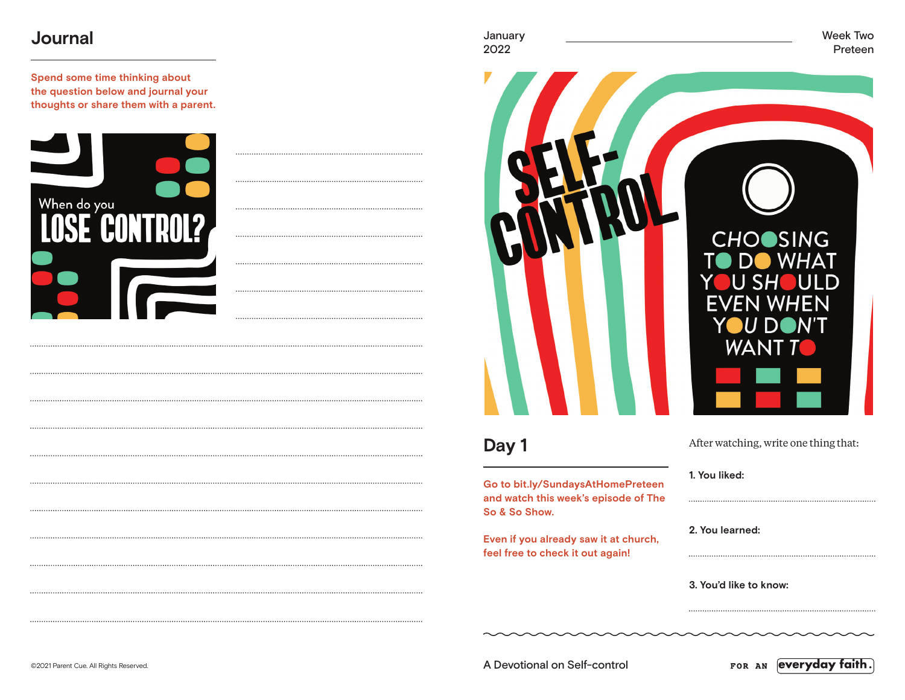# **Journal**

**Spend some time thinking about the question below and journal your thoughts or share them with a parent.**



| H | $\bigwedge$ | TTAN | H<br>Ć |
|---|-------------|------|--------|
|   |             |      | EVE    |
|   |             |      |        |

# **Day 1**

**Go to bit.ly/SundaysAtHomePreteen and watch this week's episode of The So & So Show.**

**Even if you already saw it at church, feel free to check it out again!**



**OSING** 

After watching, write one thing that:

**1. You liked:** 

**2. You learned:** 

**3. You'd like to know:** 

©2021 Parent Cue. All Rights Reserved. A Devotional on Self-control

everyday faith. FOR AN

January Week Two 2022 Preteen